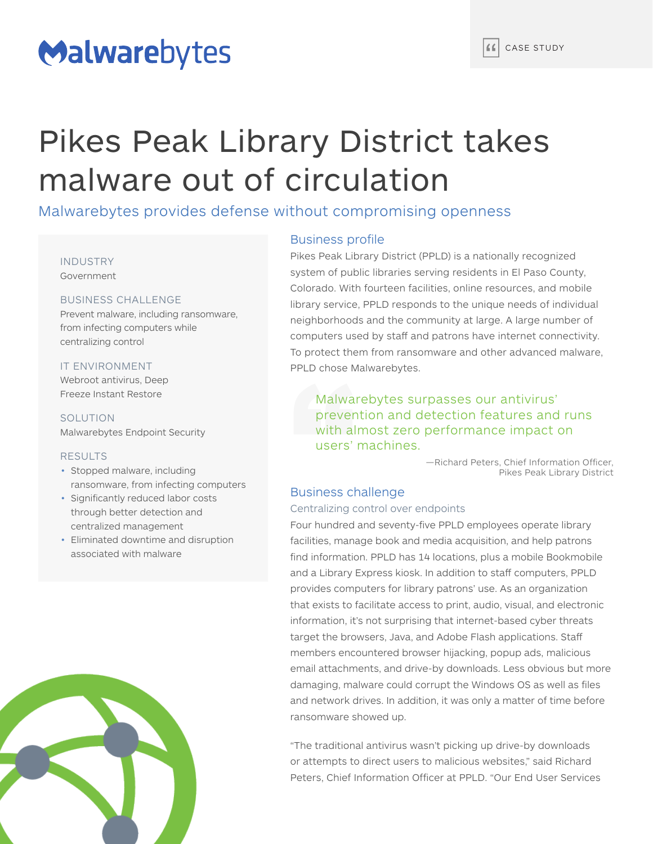# Malwarebytes

# Pikes Peak Library District takes malware out of circulation

Malwarebytes provides defense without compromising openness

#### INDUSTRY Government

# BUSINESS CHALLENGE

Prevent malware, including ransomware, from infecting computers while centralizing control

# IT ENVIRONMENT

Webroot antivirus, Deep Freeze Instant Restore

SOLUTION Malwarebytes Endpoint Security

# RESULTS

- Stopped malware, including ransomware, from infecting computers
- Significantly reduced labor costs through better detection and centralized management
- Eliminated downtime and disruption associated with malware



# Business profile

Pikes Peak Library District (PPLD) is a nationally recognized system of public libraries serving residents in El Paso County, Colorado. With fourteen facilities, online resources, and mobile library service, PPLD responds to the unique needs of individual neighborhoods and the community at large. A large number of computers used by staff and patrons have internet connectivity. To protect them from ransomware and other advanced malware, PPLD chose Malwarebytes.

Malwarebytes surpasses our antivirus' prevention and detection features and runs with almost zero performance impact on users' machines.

> —Richard Peters, Chief Information Officer, Pikes Peak Library District

# Business challenge

# Centralizing control over endpoints

Four hundred and seventy-five PPLD employees operate library facilities, manage book and media acquisition, and help patrons find information. PPLD has 14 locations, plus a mobile Bookmobile and a Library Express kiosk. In addition to staff computers, PPLD provides computers for library patrons' use. As an organization that exists to facilitate access to print, audio, visual, and electronic information, it's not surprising that internet-based cyber threats target the browsers, Java, and Adobe Flash applications. Staf members encountered browser hijacking, popup ads, malicious email attachments, and drive-by downloads. Less obvious but more damaging, malware could corrupt the Windows OS as well as files and network drives. In addition, it was only a matter of time before ransomware showed up.

"The traditional antivirus wasn't picking up drive-by downloads or attempts to direct users to malicious websites," said Richard Peters, Chief Information Officer at PPLD. "Our End User Services